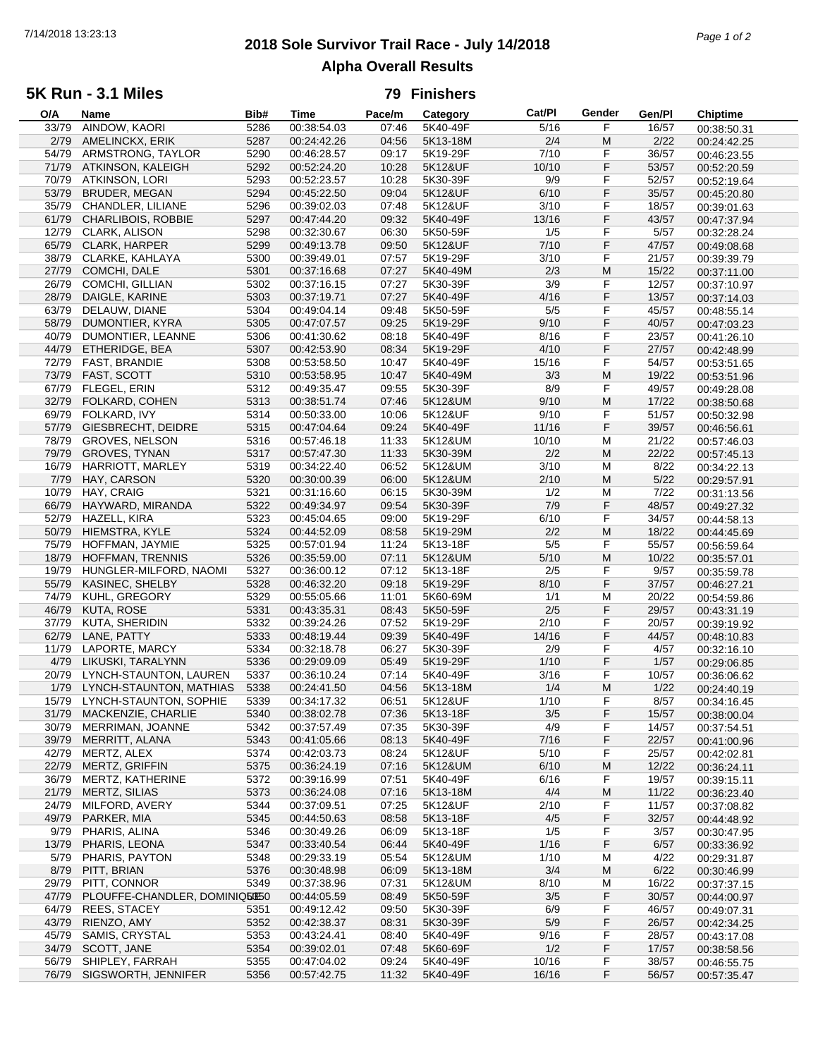# **2018 Sole Survivor Trail Race - July 14/2018** 7/14/2018 13:23:13 *Page 1 of 2* **Alpha Overall Results**

### **5K Run - 3.1 Miles**

#### **79 Finishers**

| O/A   | Name                          | Bib# | Time        | Pace/m | Category | Cat/PI            | Gender | Gen/Pl | <b>Chiptime</b> |
|-------|-------------------------------|------|-------------|--------|----------|-------------------|--------|--------|-----------------|
| 33/79 | AINDOW, KAORI                 | 5286 | 00:38:54.03 | 07:46  | 5K40-49F | $\frac{1}{5}$ /16 | F      | 16/57  | 00:38:50.31     |
| 2/79  | AMELINCKX, ERIK               | 5287 | 00:24:42.26 | 04:56  | 5K13-18M | 2/4               | M      | 2/22   | 00:24:42.25     |
| 54/79 | ARMSTRONG, TAYLOR             | 5290 | 00:46:28.57 | 09:17  | 5K19-29F | 7/10              | F      | 36/57  | 00:46:23.55     |
| 71/79 | ATKINSON, KALEIGH             | 5292 | 00:52:24.20 | 10:28  | 5K12&UF  | 10/10             | F      | 53/57  | 00:52:20.59     |
| 70/79 | <b>ATKINSON, LORI</b>         | 5293 | 00:52:23.57 | 10:28  | 5K30-39F | 9/9               | F      | 52/57  | 00:52:19.64     |
| 53/79 | <b>BRUDER, MEGAN</b>          | 5294 | 00:45:22.50 | 09:04  | 5K12&UF  | 6/10              | F      | 35/57  |                 |
|       |                               |      |             |        |          |                   |        |        | 00:45:20.80     |
| 35/79 | CHANDLER, LILIANE             | 5296 | 00:39:02.03 | 07:48  | 5K12&UF  | 3/10              | F      | 18/57  | 00:39:01.63     |
| 61/79 | <b>CHARLIBOIS, ROBBIE</b>     | 5297 | 00:47:44.20 | 09:32  | 5K40-49F | 13/16             | F      | 43/57  | 00:47:37.94     |
| 12/79 | CLARK, ALISON                 | 5298 | 00:32:30.67 | 06:30  | 5K50-59F | 1/5               | F      | 5/57   | 00:32:28.24     |
| 65/79 | CLARK, HARPER                 | 5299 | 00:49:13.78 | 09:50  | 5K12&UF  | 7/10              | F      | 47/57  | 00:49:08.68     |
| 38/79 | CLARKE, KAHLAYA               | 5300 | 00:39:49.01 | 07:57  | 5K19-29F | 3/10              | F      | 21/57  | 00:39:39.79     |
| 27/79 | COMCHI, DALE                  | 5301 | 00:37:16.68 | 07:27  | 5K40-49M | 2/3               | M      | 15/22  | 00:37:11.00     |
| 26/79 | <b>COMCHI, GILLIAN</b>        | 5302 | 00:37:16.15 | 07:27  | 5K30-39F | 3/9               | F      | 12/57  | 00:37:10.97     |
| 28/79 | DAIGLE, KARINE                | 5303 | 00:37:19.71 | 07:27  | 5K40-49F | 4/16              | F      | 13/57  | 00:37:14.03     |
| 63/79 | DELAUW, DIANE                 | 5304 | 00:49:04.14 | 09:48  | 5K50-59F | 5/5               | F      | 45/57  | 00:48:55.14     |
| 58/79 | DUMONTIER, KYRA               | 5305 | 00:47:07.57 | 09:25  | 5K19-29F | 9/10              | F      | 40/57  | 00:47:03.23     |
| 40/79 | DUMONTIER, LEANNE             | 5306 | 00:41:30.62 | 08:18  | 5K40-49F | 8/16              | F      | 23/57  | 00:41:26.10     |
| 44/79 | ETHERIDGE, BEA                | 5307 | 00:42:53.90 | 08:34  | 5K19-29F | 4/10              | F      | 27/57  |                 |
| 72/79 |                               | 5308 | 00:53:58.50 | 10:47  | 5K40-49F | 15/16             | F      | 54/57  | 00:42:48.99     |
|       | FAST, BRANDIE                 |      |             |        |          |                   |        |        | 00:53:51.65     |
| 73/79 | FAST, SCOTT                   | 5310 | 00:53:58.95 | 10:47  | 5K40-49M | 3/3               | M      | 19/22  | 00:53:51.96     |
| 67/79 | FLEGEL, ERIN                  | 5312 | 00:49:35.47 | 09:55  | 5K30-39F | 8/9               | F      | 49/57  | 00:49:28.08     |
| 32/79 | FOLKARD, COHEN                | 5313 | 00:38:51.74 | 07:46  | 5K12&UM  | 9/10              | M      | 17/22  | 00:38:50.68     |
| 69/79 | FOLKARD, IVY                  | 5314 | 00:50:33.00 | 10:06  | 5K12&UF  | 9/10              | F      | 51/57  | 00:50:32.98     |
| 57/79 | GIESBRECHT, DEIDRE            | 5315 | 00:47:04.64 | 09:24  | 5K40-49F | 11/16             | F      | 39/57  | 00:46:56.61     |
| 78/79 | <b>GROVES, NELSON</b>         | 5316 | 00:57:46.18 | 11:33  | 5K12&UM  | 10/10             | M      | 21/22  | 00:57:46.03     |
| 79/79 | <b>GROVES, TYNAN</b>          | 5317 | 00:57:47.30 | 11:33  | 5K30-39M | 2/2               | M      | 22/22  | 00:57:45.13     |
| 16/79 | HARRIOTT, MARLEY              | 5319 | 00:34:22.40 | 06:52  | 5K12&UM  | 3/10              | M      | 8/22   | 00:34:22.13     |
| 7/79  | HAY, CARSON                   | 5320 | 00:30:00.39 | 06:00  | 5K12&UM  | 2/10              | M      | 5/22   | 00:29:57.91     |
| 10/79 | HAY, CRAIG                    | 5321 | 00:31:16.60 | 06:15  | 5K30-39M | 1/2               | M      | 7/22   | 00:31:13.56     |
| 66/79 | HAYWARD, MIRANDA              | 5322 | 00:49:34.97 | 09:54  | 5K30-39F | 7/9               | F      | 48/57  | 00:49:27.32     |
| 52/79 |                               |      |             | 09:00  |          | 6/10              | F      |        |                 |
|       | HAZELL, KIRA                  | 5323 | 00:45:04.65 |        | 5K19-29F |                   |        | 34/57  | 00:44:58.13     |
| 50/79 | HIEMSTRA, KYLE                | 5324 | 00:44:52.09 | 08:58  | 5K19-29M | 2/2               | M      | 18/22  | 00:44:45.69     |
| 75/79 | HOFFMAN, JAYMIE               | 5325 | 00:57:01.94 | 11:24  | 5K13-18F | 5/5               | F      | 55/57  | 00:56:59.64     |
| 18/79 | <b>HOFFMAN, TRENNIS</b>       | 5326 | 00:35:59.00 | 07:11  | 5K12&UM  | $5/10$            | M      | 10/22  | 00:35:57.01     |
| 19/79 | HUNGLER-MILFORD, NAOMI        | 5327 | 00:36:00.12 | 07:12  | 5K13-18F | 2/5               | F      | 9/57   | 00:35:59.78     |
| 55/79 | KASINEC, SHELBY               | 5328 | 00:46:32.20 | 09:18  | 5K19-29F | 8/10              | F      | 37/57  | 00:46:27.21     |
| 74/79 | KUHL, GREGORY                 | 5329 | 00:55:05.66 | 11:01  | 5K60-69M | 1/1               | M      | 20/22  | 00:54:59.86     |
| 46/79 | <b>KUTA, ROSE</b>             | 5331 | 00:43:35.31 | 08:43  | 5K50-59F | 2/5               | F      | 29/57  | 00:43:31.19     |
| 37/79 | KUTA, SHERIDIN                | 5332 | 00:39:24.26 | 07:52  | 5K19-29F | 2/10              | F      | 20/57  | 00:39:19.92     |
| 62/79 | LANE, PATTY                   | 5333 | 00:48:19.44 | 09:39  | 5K40-49F | 14/16             | F      | 44/57  | 00:48:10.83     |
| 11/79 | LAPORTE, MARCY                | 5334 | 00:32:18.78 | 06:27  | 5K30-39F | 2/9               | F      | 4/57   | 00:32:16.10     |
| 4/79  | LIKUSKI, TARALYNN             | 5336 | 00:29:09.09 | 05:49  | 5K19-29F | 1/10              | F      | 1/57   | 00:29:06.85     |
| 20/79 | LYNCH-STAUNTON, LAUREN        | 5337 | 00:36:10.24 | 07:14  | 5K40-49F | 3/16              | F      | 10/57  | 00:36:06.62     |
| 1/79  | LYNCH-STAUNTON, MATHIAS       | 5338 | 00:24:41.50 | 04:56  | 5K13-18M | 1/4               | M      | 1/22   |                 |
|       | LYNCH-STAUNTON, SOPHIE        |      |             |        |          | 1/10              | F      |        | 00:24:40.19     |
| 15/79 |                               | 5339 | 00:34:17.32 | 06:51  | 5K12&UF  |                   |        | 8/57   | 00:34:16.45     |
|       | 31/79 MACKENZIE, CHARLIE      | 5340 | 00:38:02.78 | 07:36  | 5K13-18F | 3/5               | F      | 15/57  | 00:38:00.04     |
| 30/79 | MERRIMAN, JOANNE              | 5342 | 00:37:57.49 | 07:35  | 5K30-39F | 4/9               | F      | 14/57  | 00:37:54.51     |
| 39/79 | MERRITT, ALANA                | 5343 | 00:41:05.66 | 08:13  | 5K40-49F | 7/16              | F      | 22/57  | 00:41:00.96     |
| 42/79 | MERTZ, ALEX                   | 5374 | 00:42:03.73 | 08:24  | 5K12&UF  | 5/10              | F      | 25/57  | 00:42:02.81     |
| 22/79 | MERTZ, GRIFFIN                | 5375 | 00:36:24.19 | 07:16  | 5K12&UM  | 6/10              | M      | 12/22  | 00:36:24.11     |
| 36/79 | MERTZ, KATHERINE              | 5372 | 00:39:16.99 | 07:51  | 5K40-49F | 6/16              | F      | 19/57  | 00:39:15.11     |
| 21/79 | <b>MERTZ, SILIAS</b>          | 5373 | 00:36:24.08 | 07:16  | 5K13-18M | 4/4               | M      | 11/22  | 00:36:23.40     |
| 24/79 | MILFORD, AVERY                | 5344 | 00:37:09.51 | 07:25  | 5K12&UF  | 2/10              | F      | 11/57  | 00:37:08.82     |
| 49/79 | PARKER, MIA                   | 5345 | 00:44:50.63 | 08:58  | 5K13-18F | 4/5               | F      | 32/57  | 00:44:48.92     |
| 9/79  | PHARIS, ALINA                 | 5346 | 00:30:49.26 | 06:09  | 5K13-18F | 1/5               | F      | 3/57   | 00:30:47.95     |
| 13/79 | PHARIS, LEONA                 | 5347 | 00:33:40.54 | 06:44  | 5K40-49F | 1/16              | F      | 6/57   | 00:33:36.92     |
| 5/79  | PHARIS, PAYTON                | 5348 | 00:29:33.19 | 05:54  | 5K12&UM  | 1/10              | M      | 4/22   | 00:29:31.87     |
| 8/79  | PITT, BRIAN                   | 5376 | 00:30:48.98 | 06:09  | 5K13-18M | 3/4               | M      | 6/22   |                 |
|       |                               |      |             |        |          |                   |        |        | 00:30:46.99     |
| 29/79 | PITT, CONNOR                  | 5349 | 00:37:38.96 | 07:31  | 5K12&UM  | 8/10              | M      | 16/22  | 00:37:37.15     |
| 47/79 | PLOUFFE-CHANDLER, DOMINIQ5050 |      | 00:44:05.59 | 08:49  | 5K50-59F | 3/5               | F      | 30/57  | 00:44:00.97     |
| 64/79 | <b>REES, STACEY</b>           | 5351 | 00:49:12.42 | 09:50  | 5K30-39F | 6/9               | F      | 46/57  | 00:49:07.31     |
| 43/79 | RIENZO, AMY                   | 5352 | 00:42:38.37 | 08:31  | 5K30-39F | $5/9$             | F      | 26/57  | 00:42:34.25     |
| 45/79 | SAMIS, CRYSTAL                | 5353 | 00:43:24.41 | 08:40  | 5K40-49F | 9/16              | F      | 28/57  | 00:43:17.08     |
| 34/79 | SCOTT, JANE                   | 5354 | 00:39:02.01 | 07:48  | 5K60-69F | 1/2               | F      | 17/57  | 00:38:58.56     |
| 56/79 | SHIPLEY, FARRAH               | 5355 | 00:47:04.02 | 09:24  | 5K40-49F | 10/16             | F      | 38/57  | 00:46:55.75     |
| 76/79 | SIGSWORTH, JENNIFER           | 5356 | 00:57:42.75 | 11:32  | 5K40-49F | 16/16             | F      | 56/57  | 00:57:35.47     |